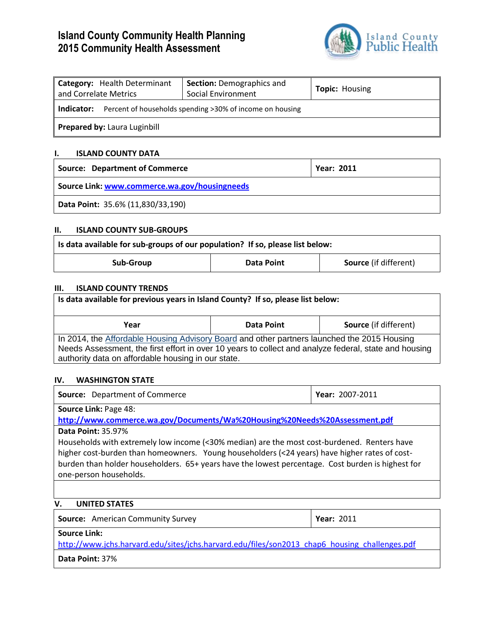# **Island County Community Health Planning 2015 Community Health Assessment**



| Category: Health Determinant<br>and Correlate Metrics                  | <b>Section: Demographics and</b><br>Social Environment | <b>Topic: Housing</b> |
|------------------------------------------------------------------------|--------------------------------------------------------|-----------------------|
| Percent of households spending >30% of income on housing<br>Indicator: |                                                        |                       |
| Prepared by: Laura Luginbill                                           |                                                        |                       |

### **I. ISLAND COUNTY DATA**

| <b>Source: Department of Commerce</b>         | <b>Year: 2011</b> |  |
|-----------------------------------------------|-------------------|--|
| Source Link: www.commerce.wa.gov/housingneeds |                   |  |
| Data Point: 35.6% (11,830/33,190)             |                   |  |

## **II. ISLAND COUNTY SUB-GROUPS**

| Is data available for sub-groups of our population? If so, please list below: |            |                              |
|-------------------------------------------------------------------------------|------------|------------------------------|
| Sub-Group                                                                     | Data Point | <b>Source</b> (if different) |

#### **III. ISLAND COUNTY TRENDS**

| Is data available for previous years in Island County? If so, please list below:                                                                                                                                                                           |                   |                              |  |  |
|------------------------------------------------------------------------------------------------------------------------------------------------------------------------------------------------------------------------------------------------------------|-------------------|------------------------------|--|--|
| Year                                                                                                                                                                                                                                                       | <b>Data Point</b> | <b>Source</b> (if different) |  |  |
| In 2014, the Affordable Housing Advisory Board and other partners launched the 2015 Housing<br>Needs Assessment, the first effort in over 10 years to collect and analyze federal, state and housing<br>authority data on affordable housing in our state. |                   |                              |  |  |

#### **IV. WASHINGTON STATE**

| <b>Source:</b> Department of Commerce                                                             | Year: 2007-2011 |  |
|---------------------------------------------------------------------------------------------------|-----------------|--|
| <b>Source Link: Page 48:</b>                                                                      |                 |  |
| http://www.commerce.wa.gov/Documents/Wa%20Housing%20Needs%20Assessment.pdf                        |                 |  |
| <b>Data Point: 35.97%</b>                                                                         |                 |  |
| Households with extremely low income (<30% median) are the most cost-burdened. Renters have       |                 |  |
| higher cost-burden than homeowners. Young householders (<24 years) have higher rates of cost-     |                 |  |
| burden than holder householders. 65+ years have the lowest percentage. Cost burden is highest for |                 |  |
| one-person households.                                                                            |                 |  |
|                                                                                                   |                 |  |

# **V. UNITED STATES**

| <b>Source:</b> American Community Survey                                                      | <b>Year: 2011</b> |
|-----------------------------------------------------------------------------------------------|-------------------|
| Source Link:                                                                                  |                   |
| http://www.jchs.harvard.edu/sites/jchs.harvard.edu/files/son2013 chap6 housing challenges.pdf |                   |
|                                                                                               |                   |

**Data Point:** 37%